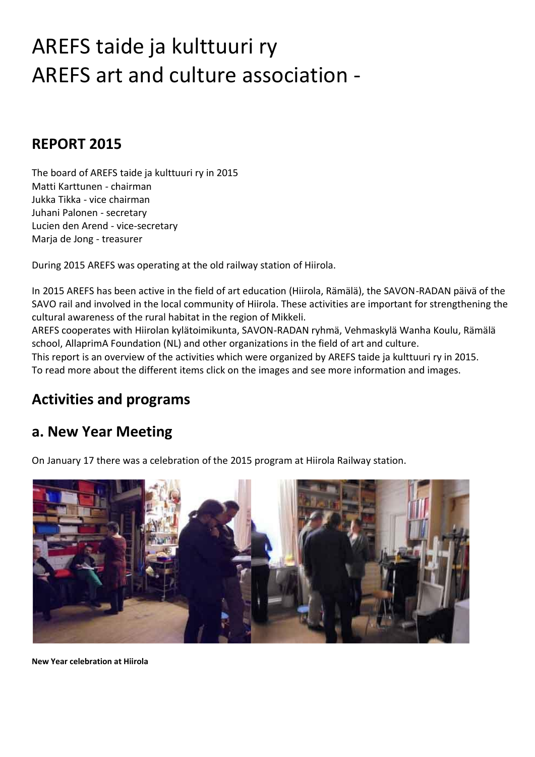# AREFS taide ja kulttuuri ry AREFS art and culture association -

#### **REPORT 2015**

The board of AREFS taide ja kulttuuri ry in 2015 Matti Karttunen - chairman Jukka Tikka - vice chairman Juhani Palonen - secretary Lucien den Arend - vice-secretary Marja de Jong - treasurer

During 2015 AREFS was operating at the old railway station of Hiirola.

In 2015 AREFS has been active in the field of art education (Hiirola, Rämälä), the SAVON-RADAN päivä of the SAVO rail and involved in the local community of Hiirola. These activities are important for strengthening the cultural awareness of the rural habitat in the region of Mikkeli.

AREFS cooperates with Hiirolan kylätoimikunta, SAVON-RADAN ryhmä, Vehmaskylä Wanha Koulu, Rämälä school, AllaprimA Foundation (NL) and other organizations in the field of art and culture.

This report is an overview of the activities which were organized by AREFS taide ja kulttuuri ry in 2015. To read more about the different items click on the images and see more information and images.

### **Activities and programs**

#### **a. New Year Meeting**

On January 17 there was a celebration of the 2015 program at Hiirola Railway station.



**New Year celebration at Hiirola**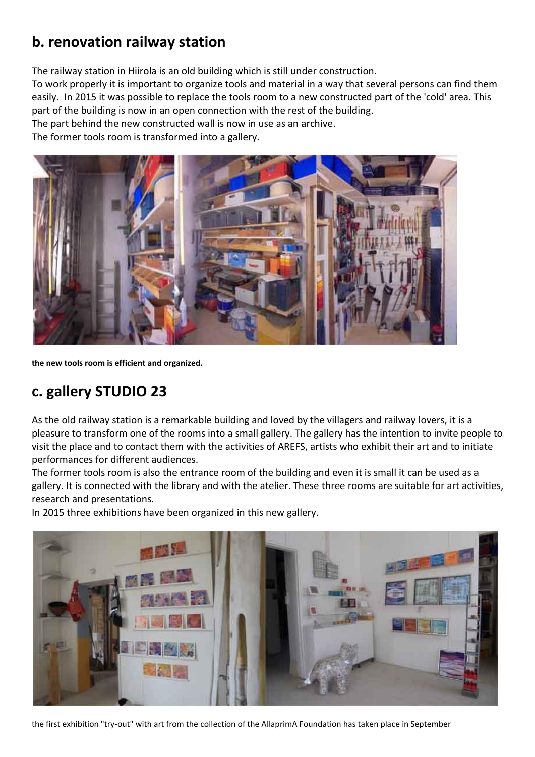## **b. renovation railway station**

The railway station in Hiirola is an old building which is still under construction.

To work properly it is important to organize tools and material in a way that several persons can find them easily. In 2015 it was possible to replace the tools room to a new constructed part of the 'cold' area. This part of the building is now in an open connection with the rest of the building.

The part behind the new constructed wall is now in use as an archive.

The former tools room is transformed into a gallery.



**the new tools room is efficient and organized.**

## **c. gallery STUDIO 23**

As the old railway station is a remarkable building and loved by the villagers and railway lovers, it is a pleasure to transform one of the rooms into a small gallery. The gallery has the intention to invite people to visit the place and to contact them with the activities of AREFS, artists who exhibit their art and to initiate performances for different audiences.

The former tools room is also the entrance room of the building and even it is small it can be used as a gallery. It is connected with the library and with the atelier. These three rooms are suitable for art activities, research and presentations.

In 2015 three exhibitions have been organized in this new gallery.



the first exhibition "try-out" with art from the collection of the AllaprimA Foundation has taken place in September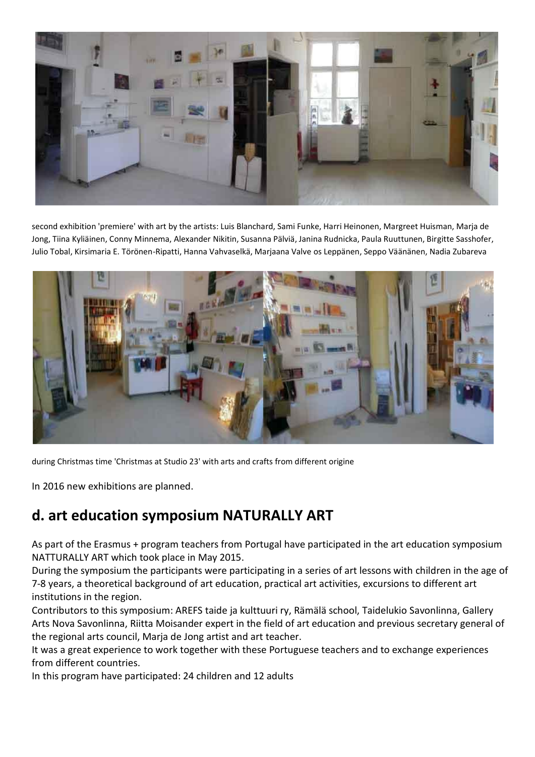

second exhibition 'premiere' with art by the artists: Luis Blanchard, Sami Funke, Harri Heinonen, Margreet Huisman, Marja de Jong, Tiina Kyliäinen, Conny Minnema, Alexander Nikitin, Susanna Pälviä, Janina Rudnicka, Paula Ruuttunen, Birgitte Sasshofer, Julio Tobal, Kirsimaria E. Törönen-Ripatti, Hanna Vahvaselkä, Marjaana Valve os Leppänen, Seppo Väänänen, Nadia Zubareva



during Christmas time 'Christmas at Studio 23' with arts and crafts from different origine

In 2016 new exhibitions are planned.

### **d. art education symposium NATURALLY ART**

As part of the Erasmus + program teachers from Portugal have participated in the art education symposium NATTURALLY ART which took place in May 2015.

During the symposium the participants were participating in a series of art lessons with children in the age of 7-8 years, a theoretical background of art education, practical art activities, excursions to different art institutions in the region.

Contributors to this symposium: AREFS taide ja kulttuuri ry, Rämälä school, Taidelukio Savonlinna, Gallery Arts Nova Savonlinna, Riitta Moisander expert in the field of art education and previous secretary general of the regional arts council, Marja de Jong artist and art teacher.

It was a great experience to work together with these Portuguese teachers and to exchange experiences from different countries.

In this program have participated: 24 children and 12 adults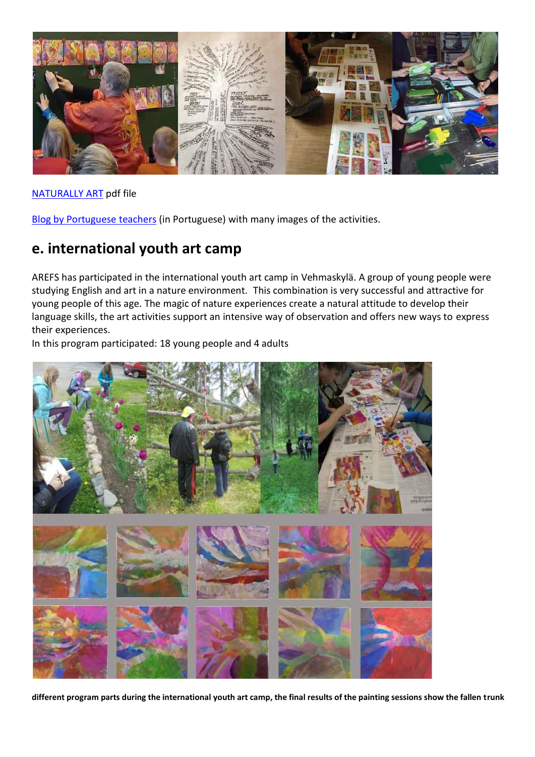

[NATURALLY ART](http://www.arefs.org/art-education-symposiums/images/2015-planning-Naturally-art-2015-english.pdf) pdf file

[Blog by Portuguese teachers](http://artenafinlandia.weebly.com/) (in Portuguese) with many images of the activities.

#### **e. international youth art camp**

AREFS has participated in the international youth art camp in Vehmaskylä. A group of young people were studying English and art in a nature environment. This combination is very successful and attractive for young people of this age. The magic of nature experiences create a natural attitude to develop their language skills, the art activities support an intensive way of observation and offers new ways to express their experiences.

In this program participated: 18 young people and 4 adults



**different program parts during the international youth art camp, the final results of the painting sessions show the fallen trunk**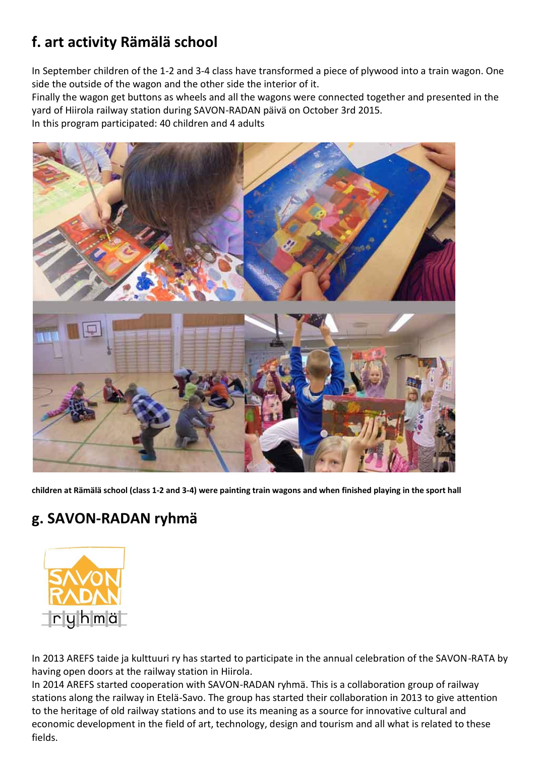## **f. art activity Rämälä school**

In September children of the 1-2 and 3-4 class have transformed a piece of plywood into a train wagon. One side the outside of the wagon and the other side the interior of it.

Finally the wagon get buttons as wheels and all the wagons were connected together and presented in the yard of Hiirola railway station during SAVON-RADAN päivä on October 3rd 2015. In this program participated: 40 children and 4 adults



**children at Rämälä school (class 1-2 and 3-4) were painting train wagons and when finished playing in the sport hall**

# **g. SAVON-RADAN ryhmä**



In 2013 AREFS taide ja kulttuuri ry has started to participate in the annual celebration of the SAVON-RATA by having open doors at the railway station in Hiirola.

In 2014 AREFS started cooperation with SAVON-RADAN ryhmä. This is a collaboration group of railway stations along the railway in Etelä-Savo. The group has started their collaboration in 2013 to give attention to the heritage of old railway stations and to use its meaning as a source for innovative cultural and economic development in the field of art, technology, design and tourism and all what is related to these fields.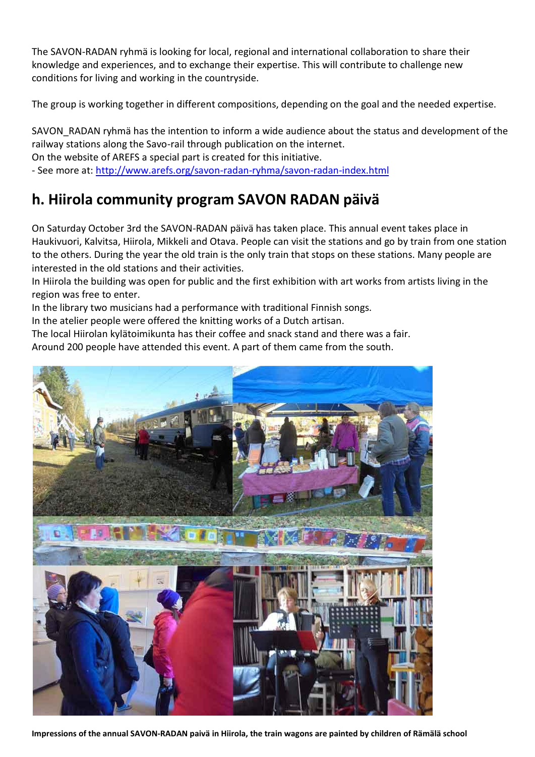The SAVON-RADAN ryhmä is looking for local, regional and international collaboration to share their knowledge and experiences, and to exchange their expertise. This will contribute to challenge new conditions for living and working in the countryside.

The group is working together in different compositions, depending on the goal and the needed expertise.

SAVON RADAN ryhmä has the intention to inform a wide audience about the status and development of the railway stations along the Savo-rail through publication on the internet. On the website of AREFS a special part is created for this initiative. - See more at:<http://www.arefs.org/savon-radan-ryhma/savon-radan-index.html>

## **h. Hiirola community program SAVON RADAN päivä**

On Saturday October 3rd the SAVON-RADAN päivä has taken place. This annual event takes place in Haukivuori, Kalvitsa, Hiirola, Mikkeli and Otava. People can visit the stations and go by train from one station to the others. During the year the old train is the only train that stops on these stations. Many people are interested in the old stations and their activities.

In Hiirola the building was open for public and the first exhibition with art works from artists living in the region was free to enter.

In the library two musicians had a performance with traditional Finnish songs.

In the atelier people were offered the knitting works of a Dutch artisan.

The local Hiirolan kylätoimikunta has their coffee and snack stand and there was a fair. Around 200 people have attended this event. A part of them came from the south.



**Impressions of the annual SAVON-RADAN paivä in Hiirola, the train wagons are painted by children of Rämälä school**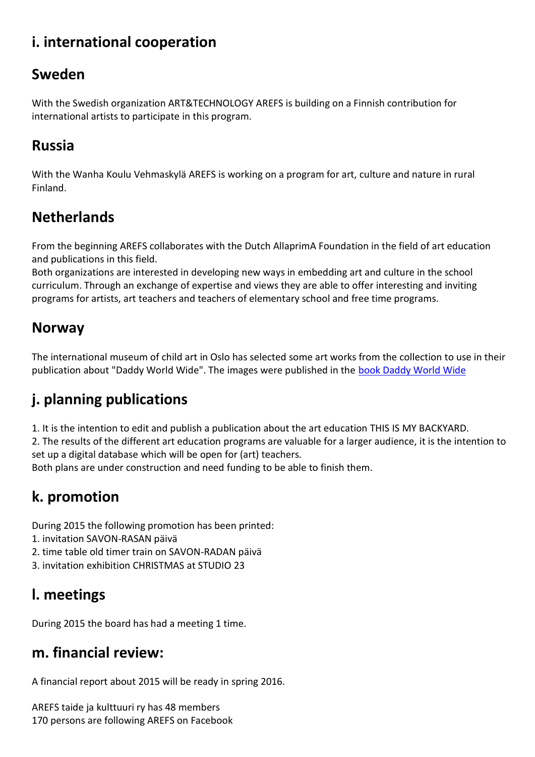## **i. international cooperation**

## **Sweden**

With the Swedish organization ART&TECHNOLOGY AREFS is building on a Finnish contribution for international artists to participate in this program.

## **Russia**

With the Wanha Koulu Vehmaskylä AREFS is working on a program for art, culture and nature in rural Finland.

# **Netherlands**

From the beginning AREFS collaborates with the Dutch AllaprimA Foundation in the field of art education and publications in this field.

Both organizations are interested in developing new ways in embedding art and culture in the school curriculum. Through an exchange of expertise and views they are able to offer interesting and inviting programs for artists, art teachers and teachers of elementary school and free time programs.

### **Norway**

The international museum of child art in Oslo has selected some art works from the collection to use in their publication about "Daddy World Wide". The images were published in the [book Daddy World Wide](http://www.barnekunst.no/en/new-book-pappan-i-de-mange-land-daddy-world-wide/)

# **j. planning publications**

1. It is the intention to edit and publish a publication about the art education THIS IS MY BACKYARD. 2. The results of the different art education programs are valuable for a larger audience, it is the intention to set up a digital database which will be open for (art) teachers.

Both plans are under construction and need funding to be able to finish them.

# **k. promotion**

During 2015 the following promotion has been printed:

- 1. invitation SAVON-RASAN päivä
- 2. time table old timer train on SAVON-RADAN päivä
- 3. invitation exhibition CHRISTMAS at STUDIO 23

# **l. meetings**

During 2015 the board has had a meeting 1 time.

## **m. financial review:**

A financial report about 2015 will be ready in spring 2016.

AREFS taide ja kulttuuri ry has 48 members 170 persons are following AREFS on Facebook